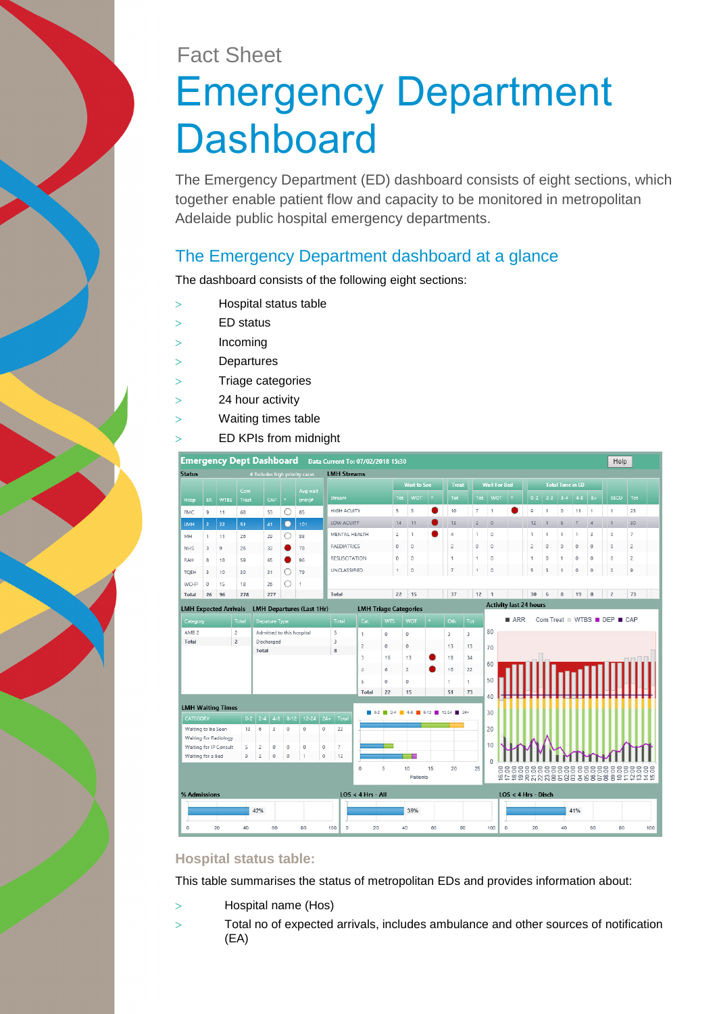# Fact Sheet Emergency Department **Dashboard**

The Emergency Department (ED) dashboard consists of eight sections, which together enable patient flow and capacity to be monitored in metropolitan Adelaide public hospital emergency departments.

# The Emergency Department dashboard at a glance

The dashboard consists of the following eight sections:

- Hospital status table
- ED status
- Incoming
- Departures
- Triage categories
- 24 hour activity
- Waiting times table
- ED KPIs from midnight



### **Hospital status table:**

This table summarises the status of metropolitan EDs and provides information about:

- Hospital name (Hos)
- Total no of expected arrivals, includes ambulance and other sources of notification (EA)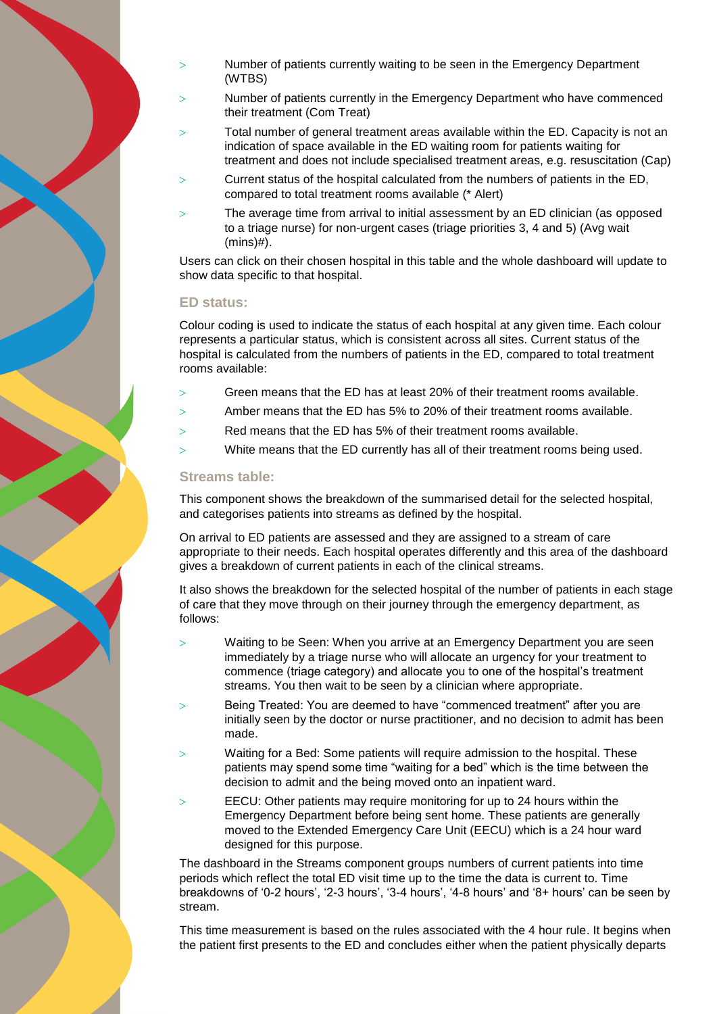- Number of patients currently waiting to be seen in the Emergency Department (WTBS)
- Number of patients currently in the Emergency Department who have commenced their treatment (Com Treat)
- Total number of general treatment areas available within the ED. Capacity is not an indication of space available in the ED waiting room for patients waiting for treatment and does not include specialised treatment areas, e.g. resuscitation (Cap)
- Current status of the hospital calculated from the numbers of patients in the ED, compared to total treatment rooms available (\* Alert)
- The average time from arrival to initial assessment by an ED clinician (as opposed to a triage nurse) for non-urgent cases (triage priorities 3, 4 and 5) (Avg wait (mins)#).

Users can click on their chosen hospital in this table and the whole dashboard will update to show data specific to that hospital.

#### **ED status:**

Colour coding is used to indicate the status of each hospital at any given time. Each colour represents a particular status, which is consistent across all sites. Current status of the hospital is calculated from the numbers of patients in the ED, compared to total treatment rooms available:

- Green means that the ED has at least 20% of their treatment rooms available.
- $>$  Amber means that the ED has 5% to 20% of their treatment rooms available.
- $>$  Red means that the ED has 5% of their treatment rooms available.
- $>$  White means that the ED currently has all of their treatment rooms being used.

#### **Streams table:**

This component shows the breakdown of the summarised detail for the selected hospital, and categorises patients into streams as defined by the hospital.

On arrival to ED patients are assessed and they are assigned to a stream of care appropriate to their needs. Each hospital operates differently and this area of the dashboard gives a breakdown of current patients in each of the clinical streams.

It also shows the breakdown for the selected hospital of the number of patients in each stage of care that they move through on their journey through the emergency department, as follows:

- Waiting to be Seen: When you arrive at an Emergency Department you are seen immediately by a triage nurse who will allocate an urgency for your treatment to commence (triage category) and allocate you to one of the hospital's treatment streams. You then wait to be seen by a clinician where appropriate.
- Being Treated: You are deemed to have "commenced treatment" after you are initially seen by the doctor or nurse practitioner, and no decision to admit has been made.
- Waiting for a Bed: Some patients will require admission to the hospital. These patients may spend some time "waiting for a bed" which is the time between the decision to admit and the being moved onto an inpatient ward.
- EECU: Other patients may require monitoring for up to 24 hours within the Emergency Department before being sent home. These patients are generally moved to the Extended Emergency Care Unit (EECU) which is a 24 hour ward designed for this purpose.

The dashboard in the Streams component groups numbers of current patients into time periods which reflect the total ED visit time up to the time the data is current to. Time breakdowns of '0-2 hours', '2-3 hours', '3-4 hours', '4-8 hours' and '8+ hours' can be seen by stream.

This time measurement is based on the rules associated with the 4 hour rule. It begins when the patient first presents to the ED and concludes either when the patient physically departs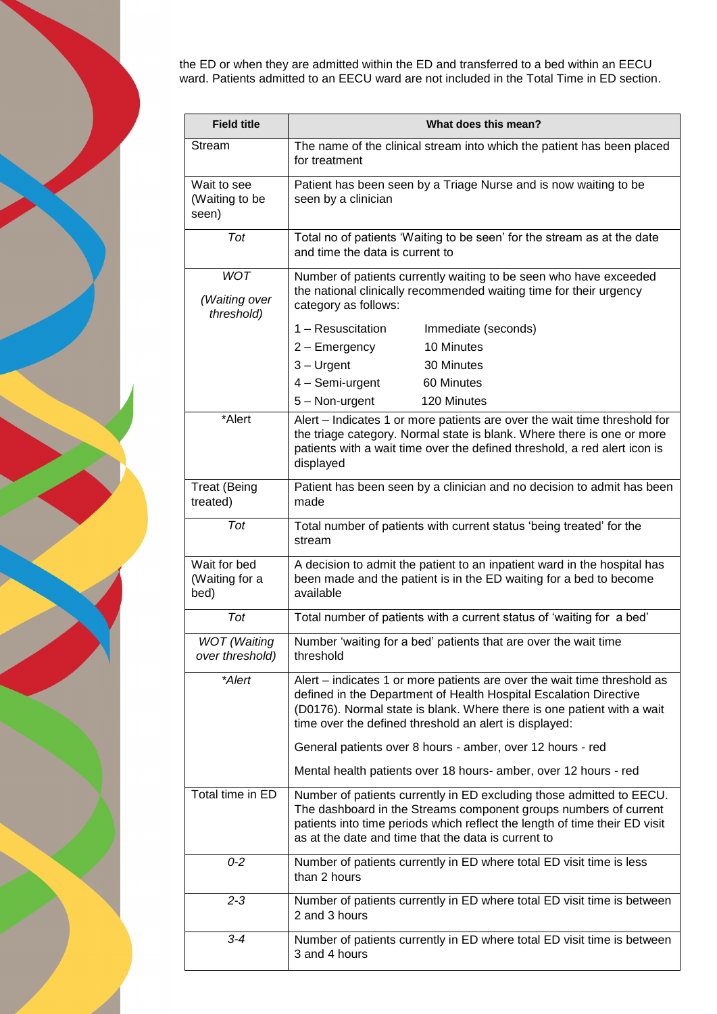

the ED or when they are admitted within the ED and transferred to a bed within an EECU ward. Patients admitted to an EECU ward are not included in the Total Time in ED section.

| <b>Field title</b>                        | What does this mean?                                                                                                                                                                                                                                                              |
|-------------------------------------------|-----------------------------------------------------------------------------------------------------------------------------------------------------------------------------------------------------------------------------------------------------------------------------------|
| Stream                                    | The name of the clinical stream into which the patient has been placed<br>for treatment                                                                                                                                                                                           |
| Wait to see<br>(Waiting to be<br>seen)    | Patient has been seen by a Triage Nurse and is now waiting to be<br>seen by a clinician                                                                                                                                                                                           |
| Tot                                       | Total no of patients 'Waiting to be seen' for the stream as at the date<br>and time the data is current to                                                                                                                                                                        |
| <b>WOT</b><br>(Waiting over<br>threshold) | Number of patients currently waiting to be seen who have exceeded<br>the national clinically recommended waiting time for their urgency<br>category as follows:                                                                                                                   |
|                                           | 1 - Resuscitation<br>Immediate (seconds)                                                                                                                                                                                                                                          |
|                                           | 10 Minutes<br>2 - Emergency                                                                                                                                                                                                                                                       |
|                                           | $3 -$ Urgent<br>30 Minutes                                                                                                                                                                                                                                                        |
|                                           | 4 - Semi-urgent<br>60 Minutes                                                                                                                                                                                                                                                     |
|                                           | 120 Minutes<br>5 - Non-urgent                                                                                                                                                                                                                                                     |
| *Alert                                    | Alert – Indicates 1 or more patients are over the wait time threshold for<br>the triage category. Normal state is blank. Where there is one or more<br>patients with a wait time over the defined threshold, a red alert icon is<br>displayed                                     |
| <b>Treat (Being</b><br>treated)           | Patient has been seen by a clinician and no decision to admit has been<br>made                                                                                                                                                                                                    |
| Tot                                       | Total number of patients with current status 'being treated' for the<br>stream                                                                                                                                                                                                    |
| Wait for bed<br>(Waiting for a<br>bed)    | A decision to admit the patient to an inpatient ward in the hospital has<br>been made and the patient is in the ED waiting for a bed to become<br>available                                                                                                                       |
| Tot                                       | Total number of patients with a current status of 'waiting for a bed'                                                                                                                                                                                                             |
| <b>WOT</b> (Waiting<br>over threshold)    | Number 'waiting for a bed' patients that are over the wait time<br>threshold                                                                                                                                                                                                      |
| *Alert                                    | Alert – indicates 1 or more patients are over the wait time threshold as<br>defined in the Department of Health Hospital Escalation Directive<br>(D0176). Normal state is blank. Where there is one patient with a wait<br>time over the defined threshold an alert is displayed: |
|                                           | General patients over 8 hours - amber, over 12 hours - red                                                                                                                                                                                                                        |
|                                           | Mental health patients over 18 hours- amber, over 12 hours - red                                                                                                                                                                                                                  |
| Total time in ED                          | Number of patients currently in ED excluding those admitted to EECU.<br>The dashboard in the Streams component groups numbers of current<br>patients into time periods which reflect the length of time their ED visit<br>as at the date and time that the data is current to     |
| $0 - 2$                                   | Number of patients currently in ED where total ED visit time is less<br>than 2 hours                                                                                                                                                                                              |
| $2 - 3$                                   | Number of patients currently in ED where total ED visit time is between<br>2 and 3 hours                                                                                                                                                                                          |
| $3 - 4$                                   | Number of patients currently in ED where total ED visit time is between<br>3 and 4 hours                                                                                                                                                                                          |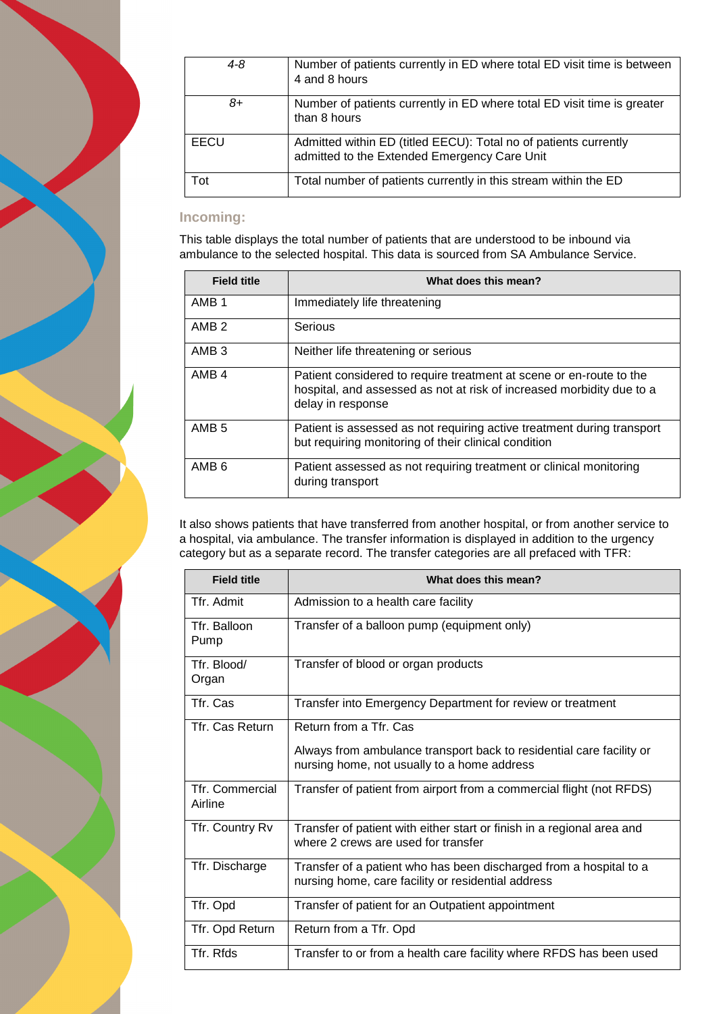| 4-8  | Number of patients currently in ED where total ED visit time is between<br>4 and 8 hours                         |
|------|------------------------------------------------------------------------------------------------------------------|
| 8+   | Number of patients currently in ED where total ED visit time is greater<br>than 8 hours                          |
| EECU | Admitted within ED (titled EECU): Total no of patients currently<br>admitted to the Extended Emergency Care Unit |
| Tot  | Total number of patients currently in this stream within the ED                                                  |

## **Incoming:**

This table displays the total number of patients that are understood to be inbound via ambulance to the selected hospital. This data is sourced from SA Ambulance Service.

| <b>Field title</b> | What does this mean?                                                                                                                                              |
|--------------------|-------------------------------------------------------------------------------------------------------------------------------------------------------------------|
| AMB <sub>1</sub>   | Immediately life threatening                                                                                                                                      |
| AMB <sub>2</sub>   | Serious                                                                                                                                                           |
| AMB <sub>3</sub>   | Neither life threatening or serious                                                                                                                               |
| AMB <sub>4</sub>   | Patient considered to require treatment at scene or en-route to the<br>hospital, and assessed as not at risk of increased morbidity due to a<br>delay in response |
| AMB <sub>5</sub>   | Patient is assessed as not requiring active treatment during transport<br>but requiring monitoring of their clinical condition                                    |
| AMB <sub>6</sub>   | Patient assessed as not requiring treatment or clinical monitoring<br>during transport                                                                            |

It also shows patients that have transferred from another hospital, or from another service to a hospital, via ambulance. The transfer information is displayed in addition to the urgency category but as a separate record. The transfer categories are all prefaced with TFR:

| <b>Field title</b>                | What does this mean?                                                                                                     |
|-----------------------------------|--------------------------------------------------------------------------------------------------------------------------|
| Tfr. Admit                        | Admission to a health care facility                                                                                      |
| Tfr. Balloon<br>Pump              | Transfer of a balloon pump (equipment only)                                                                              |
| Tfr. Blood/<br>Organ              | Transfer of blood or organ products                                                                                      |
| Tfr. Cas                          | Transfer into Emergency Department for review or treatment                                                               |
| <b>Tfr. Cas Return</b>            | Return from a Tfr. Cas                                                                                                   |
|                                   | Always from ambulance transport back to residential care facility or<br>nursing home, not usually to a home address      |
| <b>Tfr. Commercial</b><br>Airline | Transfer of patient from airport from a commercial flight (not RFDS)                                                     |
| Tfr. Country Rv                   | Transfer of patient with either start or finish in a regional area and<br>where 2 crews are used for transfer            |
| Tfr. Discharge                    | Transfer of a patient who has been discharged from a hospital to a<br>nursing home, care facility or residential address |
| Tfr. Opd                          | Transfer of patient for an Outpatient appointment                                                                        |
| Tfr. Opd Return                   | Return from a Tfr. Opd                                                                                                   |
| Tfr. Rfds                         | Transfer to or from a health care facility where RFDS has been used                                                      |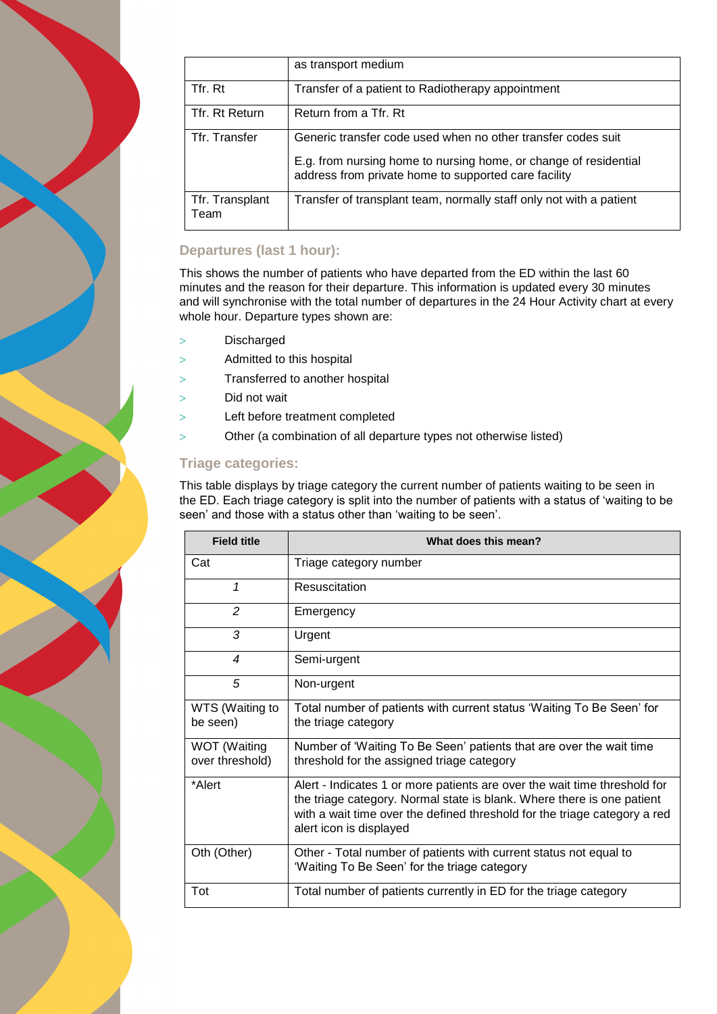|                         | as transport medium                                                                                                                                                                      |
|-------------------------|------------------------------------------------------------------------------------------------------------------------------------------------------------------------------------------|
| Tfr. Rt                 | Transfer of a patient to Radiotherapy appointment                                                                                                                                        |
| Tfr. Rt Return          | Return from a Tfr. Rt                                                                                                                                                                    |
| Tfr. Transfer           | Generic transfer code used when no other transfer codes suit<br>E.g. from nursing home to nursing home, or change of residential<br>address from private home to supported care facility |
| Tfr. Transplant<br>Team | Transfer of transplant team, normally staff only not with a patient                                                                                                                      |

## **Departures (last 1 hour):**

This shows the number of patients who have departed from the ED within the last 60 minutes and the reason for their departure. This information is updated every 30 minutes and will synchronise with the total number of departures in the 24 Hour Activity chart at every whole hour. Departure types shown are:

- > Discharged
- Admitted to this hospital
- Transferred to another hospital
- Did not wait
- Left before treatment completed
- Other (a combination of all departure types not otherwise listed)

### **Triage categories:**

This table displays by triage category the current number of patients waiting to be seen in the ED. Each triage category is split into the number of patients with a status of 'waiting to be seen' and those with a status other than 'waiting to be seen'.

| <b>Field title</b>              | What does this mean?                                                                                                                                                                                                                                        |
|---------------------------------|-------------------------------------------------------------------------------------------------------------------------------------------------------------------------------------------------------------------------------------------------------------|
| Cat                             | Triage category number                                                                                                                                                                                                                                      |
| 1                               | Resuscitation                                                                                                                                                                                                                                               |
| $\overline{2}$                  | Emergency                                                                                                                                                                                                                                                   |
| 3                               | Urgent                                                                                                                                                                                                                                                      |
| 4                               | Semi-urgent                                                                                                                                                                                                                                                 |
| 5                               | Non-urgent                                                                                                                                                                                                                                                  |
| WTS (Waiting to<br>be seen)     | Total number of patients with current status 'Waiting To Be Seen' for<br>the triage category                                                                                                                                                                |
| WOT (Waiting<br>over threshold) | Number of 'Waiting To Be Seen' patients that are over the wait time<br>threshold for the assigned triage category                                                                                                                                           |
| *Alert                          | Alert - Indicates 1 or more patients are over the wait time threshold for<br>the triage category. Normal state is blank. Where there is one patient<br>with a wait time over the defined threshold for the triage category a red<br>alert icon is displayed |
| Oth (Other)                     | Other - Total number of patients with current status not equal to<br>'Waiting To Be Seen' for the triage category                                                                                                                                           |
| Tot                             | Total number of patients currently in ED for the triage category                                                                                                                                                                                            |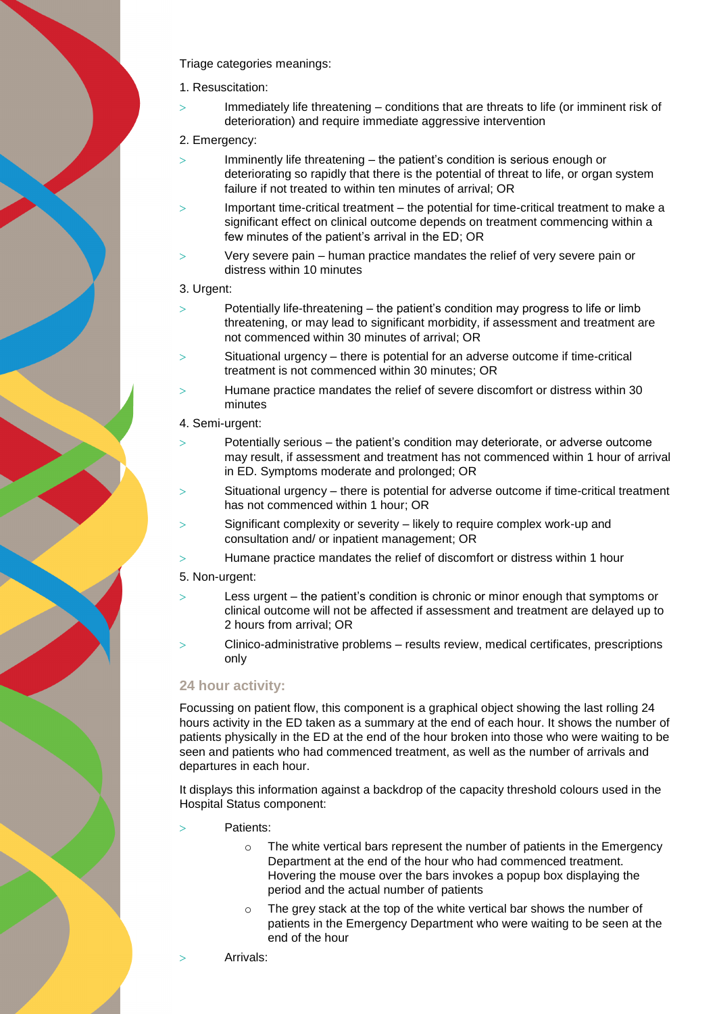Triage categories meanings:

- 1. Resuscitation:
- Immediately life threatening conditions that are threats to life (or imminent risk of deterioration) and require immediate aggressive intervention
- 2. Emergency:
- $>$  Imminently life threatening the patient's condition is serious enough or deteriorating so rapidly that there is the potential of threat to life, or organ system failure if not treated to within ten minutes of arrival; OR
- Important time-critical treatment the potential for time-critical treatment to make a significant effect on clinical outcome depends on treatment commencing within a few minutes of the patient's arrival in the ED; OR
- Very severe pain human practice mandates the relief of very severe pain or distress within 10 minutes
- 3. Urgent:
- $>$ Potentially life-threatening the patient's condition may progress to life or limb threatening, or may lead to significant morbidity, if assessment and treatment are not commenced within 30 minutes of arrival; OR
- Situational urgency there is potential for an adverse outcome if time-critical treatment is not commenced within 30 minutes; OR
- Humane practice mandates the relief of severe discomfort or distress within 30 minutes
- 4. Semi-urgent:
- $>$ Potentially serious the patient's condition may deteriorate, or adverse outcome may result, if assessment and treatment has not commenced within 1 hour of arrival in ED. Symptoms moderate and prolonged; OR
- Situational urgency there is potential for adverse outcome if time-critical treatment has not commenced within 1 hour; OR
- Significant complexity or severity likely to require complex work-up and consultation and/ or inpatient management; OR
- Humane practice mandates the relief of discomfort or distress within 1 hour
- 5. Non-urgent:
- Less urgent the patient's condition is chronic or minor enough that symptoms or clinical outcome will not be affected if assessment and treatment are delayed up to 2 hours from arrival; OR
- Clinico-administrative problems results review, medical certificates, prescriptions only

### **24 hour activity:**

Focussing on patient flow, this component is a graphical object showing the last rolling 24 hours activity in the ED taken as a summary at the end of each hour. It shows the number of patients physically in the ED at the end of the hour broken into those who were waiting to be seen and patients who had commenced treatment, as well as the number of arrivals and departures in each hour.

It displays this information against a backdrop of the capacity threshold colours used in the Hospital Status component:

- Patients:
	- o The white vertical bars represent the number of patients in the Emergency Department at the end of the hour who had commenced treatment. Hovering the mouse over the bars invokes a popup box displaying the period and the actual number of patients
	- The grey stack at the top of the white vertical bar shows the number of patients in the Emergency Department who were waiting to be seen at the end of the hour
	- Arrivals: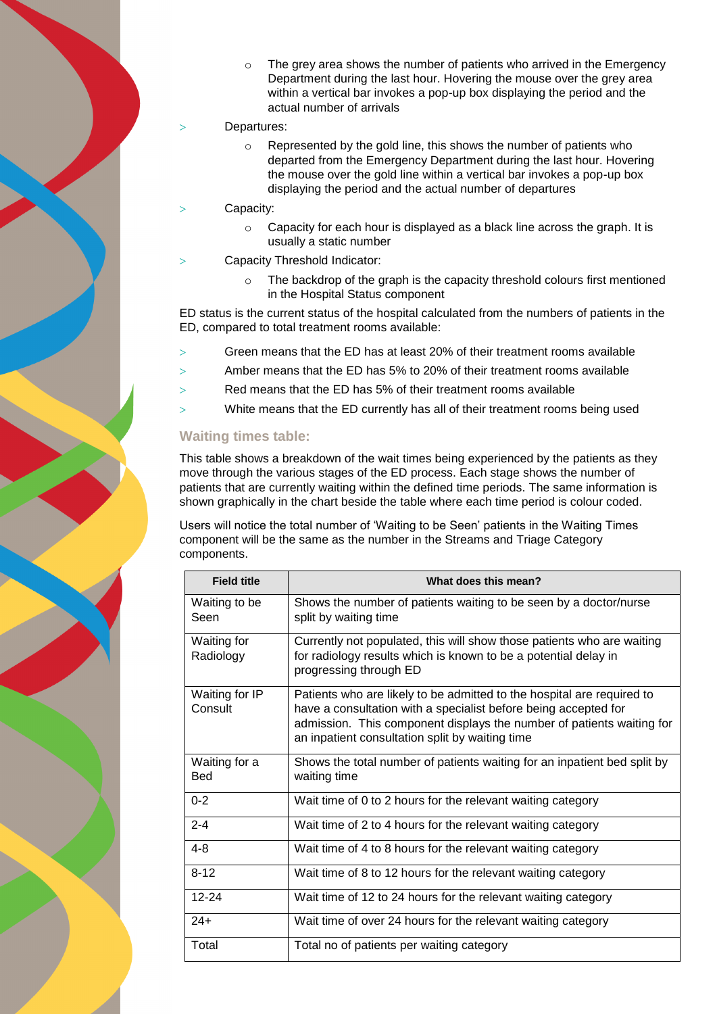$\circ$  The grey area shows the number of patients who arrived in the Emergency Department during the last hour. Hovering the mouse over the grey area within a vertical bar invokes a pop-up box displaying the period and the actual number of arrivals

#### Departures:

- o Represented by the gold line, this shows the number of patients who departed from the Emergency Department during the last hour. Hovering the mouse over the gold line within a vertical bar invokes a pop-up box displaying the period and the actual number of departures
- Capacity:
	- o Capacity for each hour is displayed as a black line across the graph. It is usually a static number
- Capacity Threshold Indicator:
	- The backdrop of the graph is the capacity threshold colours first mentioned in the Hospital Status component

ED status is the current status of the hospital calculated from the numbers of patients in the ED, compared to total treatment rooms available:

- Green means that the ED has at least 20% of their treatment rooms available
- Amber means that the ED has 5% to 20% of their treatment rooms available
- Red means that the ED has 5% of their treatment rooms available
- White means that the ED currently has all of their treatment rooms being used

#### **Waiting times table:**

This table shows a breakdown of the wait times being experienced by the patients as they move through the various stages of the ED process. Each stage shows the number of patients that are currently waiting within the defined time periods. The same information is shown graphically in the chart beside the table where each time period is colour coded.

Users will notice the total number of 'Waiting to be Seen' patients in the Waiting Times component will be the same as the number in the Streams and Triage Category components.

| <b>Field title</b>              | What does this mean?                                                                                                                                                                                                                                                  |
|---------------------------------|-----------------------------------------------------------------------------------------------------------------------------------------------------------------------------------------------------------------------------------------------------------------------|
| Waiting to be<br>Seen           | Shows the number of patients waiting to be seen by a doctor/nurse<br>split by waiting time                                                                                                                                                                            |
| <b>Waiting for</b><br>Radiology | Currently not populated, this will show those patients who are waiting<br>for radiology results which is known to be a potential delay in<br>progressing through ED                                                                                                   |
| Waiting for IP<br>Consult       | Patients who are likely to be admitted to the hospital are required to<br>have a consultation with a specialist before being accepted for<br>admission. This component displays the number of patients waiting for<br>an inpatient consultation split by waiting time |
| Waiting for a<br><b>Bed</b>     | Shows the total number of patients waiting for an inpatient bed split by<br>waiting time                                                                                                                                                                              |
| $0 - 2$                         | Wait time of 0 to 2 hours for the relevant waiting category                                                                                                                                                                                                           |
| $2 - 4$                         | Wait time of 2 to 4 hours for the relevant waiting category                                                                                                                                                                                                           |
| $4 - 8$                         | Wait time of 4 to 8 hours for the relevant waiting category                                                                                                                                                                                                           |
| $8 - 12$                        | Wait time of 8 to 12 hours for the relevant waiting category                                                                                                                                                                                                          |
| $12 - 24$                       | Wait time of 12 to 24 hours for the relevant waiting category                                                                                                                                                                                                         |
| $24+$                           | Wait time of over 24 hours for the relevant waiting category                                                                                                                                                                                                          |
| Total                           | Total no of patients per waiting category                                                                                                                                                                                                                             |